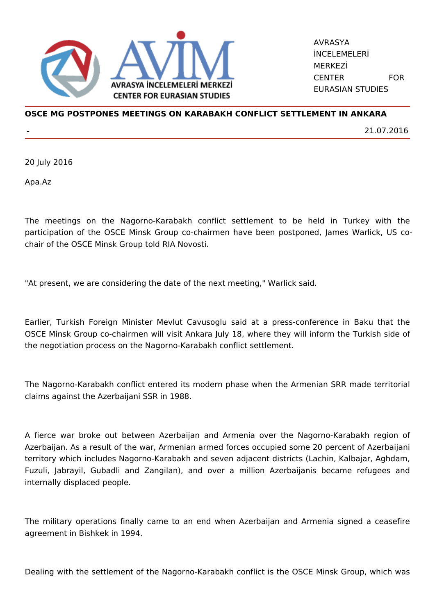

AVRASYA İNCELEMELERİ MERKEZİ CENTER FOR EURASIAN STUDIES

## **OSCE MG POSTPONES MEETINGS ON KARABAKH CONFLICT SETTLEMENT IN ANKARA**

**-** 21.07.2016

20 July 2016

Apa.Az

The meetings on the Nagorno-Karabakh conflict settlement to be held in Turkey with the participation of the OSCE Minsk Group co-chairmen have been postponed, James Warlick, US cochair of the OSCE Minsk Group told RIA Novosti.

"At present, we are considering the date of the next meeting," Warlick said.

Earlier, Turkish Foreign Minister Mevlut Cavusoglu said at a press-conference in Baku that the OSCE Minsk Group co-chairmen will visit Ankara July 18, where they will inform the Turkish side of the negotiation process on the Nagorno-Karabakh conflict settlement.

The Nagorno-Karabakh conflict entered its modern phase when the Armenian SRR made territorial claims against the Azerbaijani SSR in 1988.

A fierce war broke out between Azerbaijan and Armenia over the Nagorno-Karabakh region of Azerbaijan. As a result of the war, Armenian armed forces occupied some 20 percent of Azerbaijani territory which includes Nagorno-Karabakh and seven adjacent districts (Lachin, Kalbajar, Aghdam, Fuzuli, Jabrayil, Gubadli and Zangilan), and over a million Azerbaijanis became refugees and internally displaced people.

The military operations finally came to an end when Azerbaijan and Armenia signed a ceasefire agreement in Bishkek in 1994.

Dealing with the settlement of the Nagorno-Karabakh conflict is the OSCE Minsk Group, which was